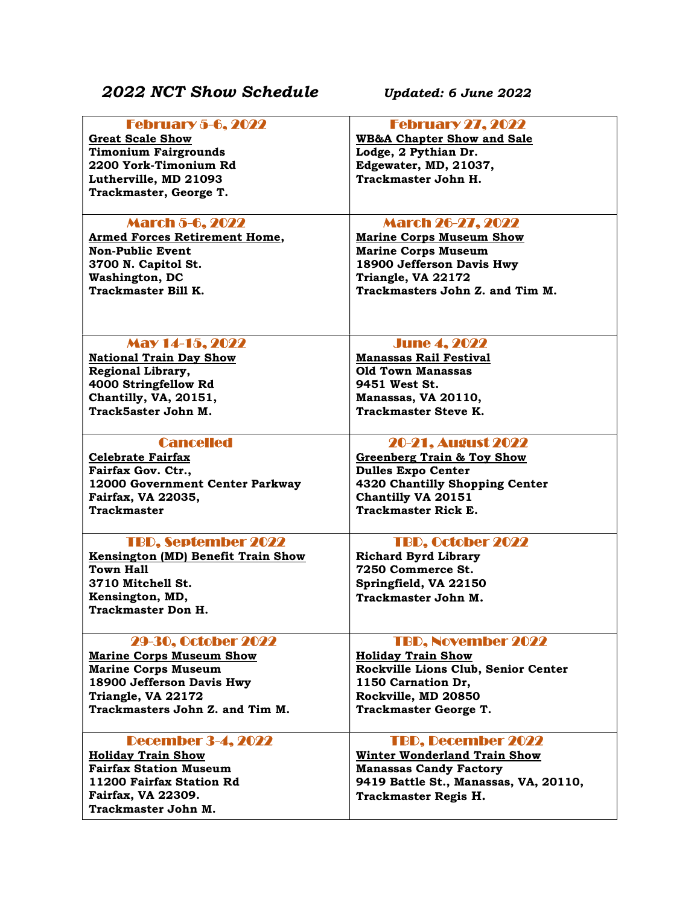## 2022 NCT Show Schedule Updated: 6 June 2022

| <b>February 5-6, 2022</b>            | <b>February 27, 2022</b>              |
|--------------------------------------|---------------------------------------|
| <b>Great Scale Show</b>              | <b>WB&amp;A Chapter Show and Sale</b> |
| <b>Timonium Fairgrounds</b>          | Lodge, 2 Pythian Dr.                  |
| 2200 York-Timonium Rd                | Edgewater, MD, 21037,                 |
|                                      |                                       |
| Lutherville, MD 21093                | Trackmaster John H.                   |
| Trackmaster, George T.               |                                       |
|                                      |                                       |
| <b>March 5-6, 2022</b>               | <b>March 26-27, 2022</b>              |
| <b>Armed Forces Retirement Home,</b> | <b>Marine Corps Museum Show</b>       |
|                                      |                                       |
| <b>Non-Public Event</b>              | <b>Marine Corps Museum</b>            |
| 3700 N. Capitol St.                  | 18900 Jefferson Davis Hwy             |
| <b>Washington, DC</b>                | Triangle, VA 22172                    |
| Trackmaster Bill K.                  | Trackmasters John Z. and Tim M.       |
|                                      |                                       |
|                                      |                                       |
|                                      |                                       |
| May 14-15, 2022                      | <b>June 4, 2022</b>                   |
|                                      |                                       |
| <b>National Train Day Show</b>       | <b>Manassas Rail Festival</b>         |
| Regional Library,                    | <b>Old Town Manassas</b>              |
| 4000 Stringfellow Rd                 | 9451 West St.                         |
| Chantilly, VA, 20151,                | Manassas, VA 20110,                   |
| Track5aster John M.                  | <b>Trackmaster Steve K.</b>           |
|                                      |                                       |
| <b>Cancelled</b>                     | <b>20-21. August 2022</b>             |
|                                      |                                       |
| <b>Celebrate Fairfax</b>             | <b>Greenberg Train &amp; Toy Show</b> |
| Fairfax Gov. Ctr.,                   | <b>Dulles Expo Center</b>             |
| 12000 Government Center Parkway      | 4320 Chantilly Shopping Center        |
| Fairfax, VA 22035,                   | Chantilly VA 20151                    |
| <b>Trackmaster</b>                   | Trackmaster Rick E.                   |
|                                      |                                       |
| <b>TBD, September 2022</b>           | <b>TBD, October 2022</b>              |
|                                      |                                       |
| Kensington (MD) Benefit Train Show   | <b>Richard Byrd Library</b>           |
| Town Hall                            | 7250 Commerce St.                     |
| 3710 Mitchell St.                    | Springfield, VA 22150                 |
| Kensington, MD,                      | Trackmaster John M.                   |
| <b>Trackmaster Don H.</b>            |                                       |
|                                      |                                       |
| <b>29-30, October 2022</b>           | <b>TBD, November 2022</b>             |
|                                      |                                       |
| <b>Marine Corps Museum Show</b>      | <b>Holiday Train Show</b>             |
| <b>Marine Corps Museum</b>           | Rockville Lions Club, Senior Center   |
| 18900 Jefferson Davis Hwy            | 1150 Carnation Dr,                    |
| Triangle, VA 22172                   | Rockville, MD 20850                   |
| Trackmasters John Z. and Tim M.      | Trackmaster George T.                 |
|                                      |                                       |
| <b>December 3-4, 2022</b>            | <b>TBD, December 2022</b>             |
|                                      |                                       |
| <b>Holiday Train Show</b>            | <b>Winter Wonderland Train Show</b>   |
| <b>Fairfax Station Museum</b>        | <b>Manassas Candy Factory</b>         |
| 11200 Fairfax Station Rd             | 9419 Battle St., Manassas, VA, 20110, |
| Fairfax, VA 22309.                   | Trackmaster Regis H.                  |
| Trackmaster John M.                  |                                       |
|                                      |                                       |